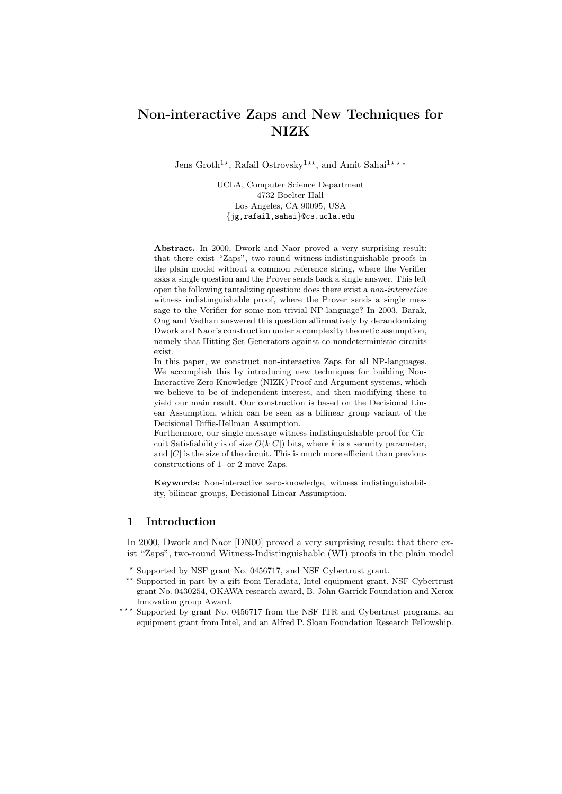# Non-interactive Zaps and New Techniques for NIZK

Jens Groth<sup>1\*</sup>, Rafail Ostrovsky<sup>1\*\*</sup>, and Amit Sahai<sup>1\*\*\*</sup>

UCLA, Computer Science Department 4732 Boelter Hall Los Angeles, CA 90095, USA {jg,rafail,sahai}@cs.ucla.edu

Abstract. In 2000, Dwork and Naor proved a very surprising result: that there exist "Zaps", two-round witness-indistinguishable proofs in the plain model without a common reference string, where the Verifier asks a single question and the Prover sends back a single answer. This left open the following tantalizing question: does there exist a non-interactive witness indistinguishable proof, where the Prover sends a single message to the Verifier for some non-trivial NP-language? In 2003, Barak, Ong and Vadhan answered this question affirmatively by derandomizing Dwork and Naor's construction under a complexity theoretic assumption, namely that Hitting Set Generators against co-nondeterministic circuits exist.

In this paper, we construct non-interactive Zaps for all NP-languages. We accomplish this by introducing new techniques for building Non-Interactive Zero Knowledge (NIZK) Proof and Argument systems, which we believe to be of independent interest, and then modifying these to yield our main result. Our construction is based on the Decisional Linear Assumption, which can be seen as a bilinear group variant of the Decisional Diffie-Hellman Assumption.

Furthermore, our single message witness-indistinguishable proof for Circuit Satisfiability is of size  $O(k|C|)$  bits, where k is a security parameter, and  $|C|$  is the size of the circuit. This is much more efficient than previous constructions of 1- or 2-move Zaps.

Keywords: Non-interactive zero-knowledge, witness indistinguishability, bilinear groups, Decisional Linear Assumption.

## 1 Introduction

In 2000, Dwork and Naor [DN00] proved a very surprising result: that there exist "Zaps", two-round Witness-Indistinguishable (WI) proofs in the plain model

<sup>?</sup> Supported by NSF grant No. 0456717, and NSF Cybertrust grant.

<sup>\*\*</sup> Supported in part by a gift from Teradata, Intel equipment grant, NSF Cybertrust grant No. 0430254, OKAWA research award, B. John Garrick Foundation and Xerox Innovation group Award.

<sup>\*\*\*</sup> Supported by grant No. 0456717 from the NSF ITR and Cybertrust programs, an equipment grant from Intel, and an Alfred P. Sloan Foundation Research Fellowship.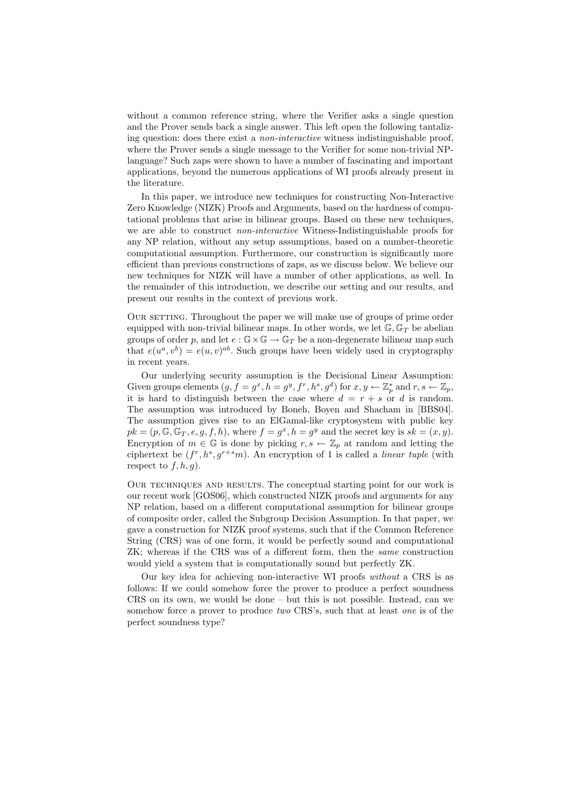without a common reference string, where the Verifier asks a single question and the Prover sends back a single answer. This left open the following tantalizing question: does there exist a non-interactive witness indistinguishable proof, where the Prover sends a single message to the Verifier for some non-trivial NPlanguage? Such zaps were shown to have a number of fascinating and important applications, beyond the numerous applications of WI proofs already present in the literature.

In this paper, we introduce new techniques for constructing Non-Interactive Zero Knowledge (NIZK) Proofs and Arguments, based on the hardness of computational problems that arise in bilinear groups. Based on these new techniques, we are able to construct non-interactive Witness-Indistinguishable proofs for any NP relation, without any setup assumptions, based on a number-theoretic computational assumption. Furthermore, our construction is significantly more efficient than previous constructions of zaps, as we discuss below. We believe our new techniques for NIZK will have a number of other applications, as well. In the remainder of this introduction, we describe our setting and our results, and present our results in the context of previous work.

Our setting. Throughout the paper we will make use of groups of prime order equipped with non-trivial bilinear maps. In other words, we let  $\mathbb{G}, \mathbb{G}_T$  be abelian groups of order p, and let  $e : \mathbb{G} \times \mathbb{G} \to \mathbb{G}_T$  be a non-degenerate bilinear map such that  $e(u^a, v^b) = e(u, v)^{ab}$ . Such groups have been widely used in cryptography in recent years.

Our underlying security assumption is the Decisional Linear Assumption: Given groups elements  $(g, f = g^x, h = g^y, f^r, h^s, g^d)$  for  $x, y \leftarrow \mathbb{Z}_p^*$  and  $r, s \leftarrow \mathbb{Z}_p$ , it is hard to distinguish between the case where  $d = r + s$  or d is random. The assumption was introduced by Boneh, Boyen and Shacham in [BBS04]. The assumption gives rise to an ElGamal-like cryptosystem with public key  $pk = (p, \mathbb{G}, \mathbb{G}_T, e, g, f, h)$ , where  $f = g^x, h = g^y$  and the secret key is  $sk = (x, y)$ . Encryption of  $m \in \mathbb{G}$  is done by picking  $r, s \leftarrow \mathbb{Z}_p$  at random and letting the ciphertext be  $(f^r, h^s, g^{r+s}m)$ . An encryption of 1 is called a *linear tuple* (with respect to  $f, h, g$ ).

Our techniques and results. The conceptual starting point for our work is our recent work [GOS06], which constructed NIZK proofs and arguments for any NP relation, based on a different computational assumption for bilinear groups of composite order, called the Subgroup Decision Assumption. In that paper, we gave a construction for NIZK proof systems, such that if the Common Reference String (CRS) was of one form, it would be perfectly sound and computational ZK; whereas if the CRS was of a different form, then the same construction would yield a system that is computationally sound but perfectly ZK.

Our key idea for achieving non-interactive WI proofs without a CRS is as follows: If we could somehow force the prover to produce a perfect soundness CRS on its own, we would be done – but this is not possible. Instead, can we somehow force a prover to produce two CRS's, such that at least one is of the perfect soundness type?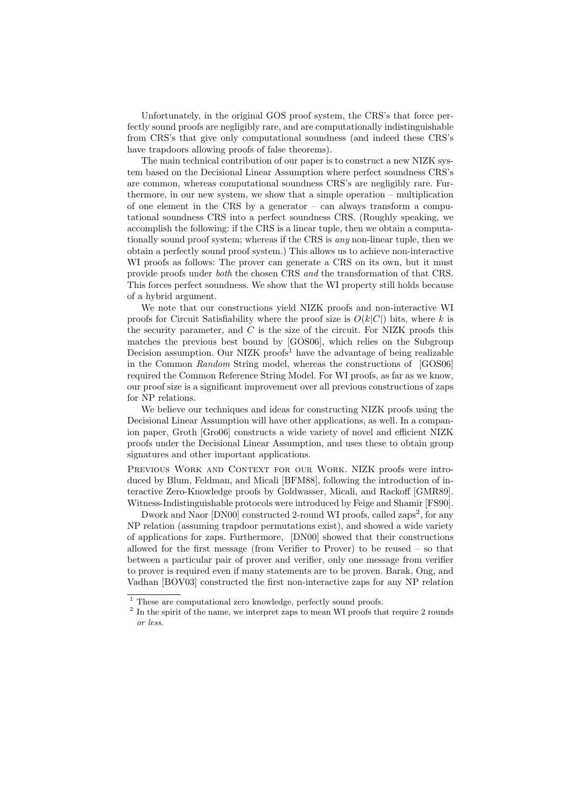Unfortunately, in the original GOS proof system, the CRS's that force perfectly sound proofs are negligibly rare, and are computationally indistinguishable from CRS's that give only computational soundness (and indeed these CRS's have trapdoors allowing proofs of false theorems).

The main technical contribution of our paper is to construct a new NIZK system based on the Decisional Linear Assumption where perfect soundness CRS's are common, whereas computational soundness CRS's are negligibly rare. Furthermore, in our new system, we show that a simple operation – multiplication of one element in the CRS by a generator – can always transform a computational soundness CRS into a perfect soundness CRS. (Roughly speaking, we accomplish the following: if the CRS is a linear tuple, then we obtain a computationally sound proof system; whereas if the CRS is any non-linear tuple, then we obtain a perfectly sound proof system.) This allows us to achieve non-interactive WI proofs as follows: The prover can generate a CRS on its own, but it must provide proofs under both the chosen CRS and the transformation of that CRS. This forces perfect soundness. We show that the WI property still holds because of a hybrid argument.

We note that our constructions yield NIZK proofs and non-interactive WI proofs for Circuit Satisfiability where the proof size is  $O(k|C|)$  bits, where k is the security parameter, and  $C$  is the size of the circuit. For NIZK proofs this matches the previous best bound by [GOS06], which relies on the Subgroup Decision assumption. Our NIZK proofs<sup>1</sup> have the advantage of being realizable in the Common Random String model, whereas the constructions of [GOS06] required the Common Reference String Model. For WI proofs, as far as we know, our proof size is a significant improvement over all previous constructions of zaps for NP relations.

We believe our techniques and ideas for constructing NIZK proofs using the Decisional Linear Assumption will have other applications, as well. In a companion paper, Groth [Gro06] constructs a wide variety of novel and efficient NIZK proofs under the Decisional Linear Assumption, and uses these to obtain group signatures and other important applications.

PREVIOUS WORK AND CONTEXT FOR OUR WORK. NIZK proofs were introduced by Blum, Feldman, and Micali [BFM88], following the introduction of interactive Zero-Knowledge proofs by Goldwasser, Micali, and Rackoff [GMR89]. Witness-Indistinguishable protocols were introduced by Feige and Shamir [FS90].

Dwork and Naor [DN00] constructed 2-round WI proofs, called zaps<sup>2</sup>, for any NP relation (assuming trapdoor permutations exist), and showed a wide variety of applications for zaps. Furthermore, [DN00] showed that their constructions allowed for the first message (from Verifier to Prover) to be reused – so that between a particular pair of prover and verifier, only one message from verifier to prover is required even if many statements are to be proven. Barak, Ong, and Vadhan [BOV03] constructed the first non-interactive zaps for any NP relation

 $1$  These are computational zero knowledge, perfectly sound proofs.

<sup>&</sup>lt;sup>2</sup> In the spirit of the name, we interpret zaps to mean WI proofs that require 2 rounds or less.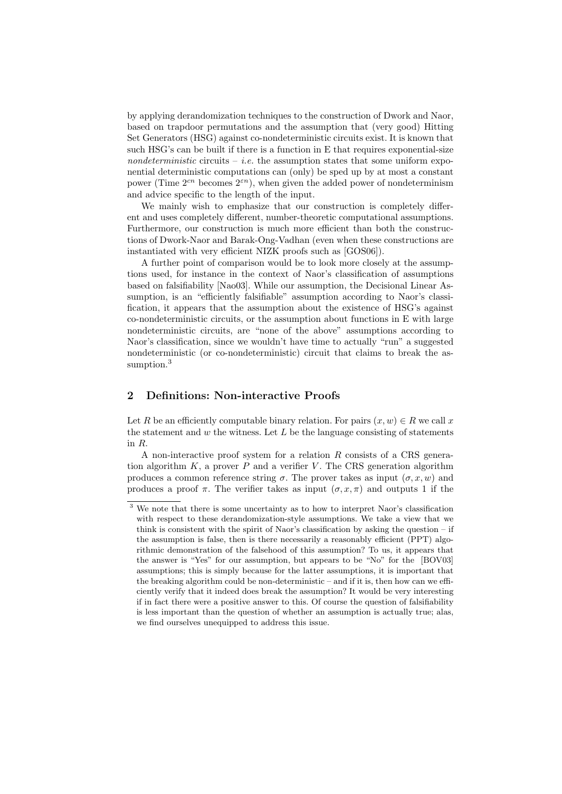by applying derandomization techniques to the construction of Dwork and Naor, based on trapdoor permutations and the assumption that (very good) Hitting Set Generators (HSG) against co-nondeterministic circuits exist. It is known that such HSG's can be built if there is a function in E that requires exponential-size nondeterministic circuits – *i.e.* the assumption states that some uniform exponential deterministic computations can (only) be sped up by at most a constant power (Time  $2^{cn}$  becomes  $2^{cn}$ ), when given the added power of nondeterminism and advice specific to the length of the input.

We mainly wish to emphasize that our construction is completely different and uses completely different, number-theoretic computational assumptions. Furthermore, our construction is much more efficient than both the constructions of Dwork-Naor and Barak-Ong-Vadhan (even when these constructions are instantiated with very efficient NIZK proofs such as [GOS06]).

A further point of comparison would be to look more closely at the assumptions used, for instance in the context of Naor's classification of assumptions based on falsifiability [Nao03]. While our assumption, the Decisional Linear Assumption, is an "efficiently falsifiable" assumption according to Naor's classification, it appears that the assumption about the existence of HSG's against co-nondeterministic circuits, or the assumption about functions in E with large nondeterministic circuits, are "none of the above" assumptions according to Naor's classification, since we wouldn't have time to actually "run" a suggested nondeterministic (or co-nondeterministic) circuit that claims to break the assumption.<sup>3</sup>

## 2 Definitions: Non-interactive Proofs

Let R be an efficiently computable binary relation. For pairs  $(x, w) \in R$  we call x the statement and  $w$  the witness. Let  $L$  be the language consisting of statements in R.

A non-interactive proof system for a relation R consists of a CRS generation algorithm  $K$ , a prover  $P$  and a verifier  $V$ . The CRS generation algorithm produces a common reference string  $\sigma$ . The prover takes as input  $(\sigma, x, w)$  and produces a proof  $\pi$ . The verifier takes as input  $(\sigma, x, \pi)$  and outputs 1 if the

 $\overline{3}$  We note that there is some uncertainty as to how to interpret Naor's classification with respect to these derandomization-style assumptions. We take a view that we think is consistent with the spirit of Naor's classification by asking the question  $-$  if the assumption is false, then is there necessarily a reasonably efficient (PPT) algorithmic demonstration of the falsehood of this assumption? To us, it appears that the answer is "Yes" for our assumption, but appears to be "No" for the [BOV03] assumptions; this is simply because for the latter assumptions, it is important that the breaking algorithm could be non-deterministic – and if it is, then how can we efficiently verify that it indeed does break the assumption? It would be very interesting if in fact there were a positive answer to this. Of course the question of falsifiability is less important than the question of whether an assumption is actually true; alas, we find ourselves unequipped to address this issue.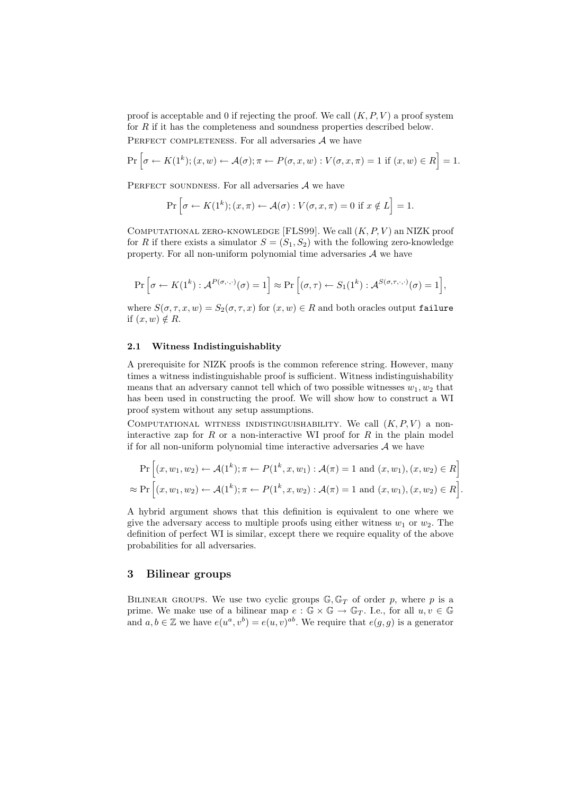proof is acceptable and 0 if rejecting the proof. We call  $(K, P, V)$  a proof system for R if it has the completeness and soundness properties described below. PERFECT COMPLETENESS. For all adversaries  $A$  we have

$$
\Pr\left[\sigma \leftarrow K(1^k); (x, w) \leftarrow \mathcal{A}(\sigma); \pi \leftarrow P(\sigma, x, w) : V(\sigma, x, \pi) = 1 \text{ if } (x, w) \in R\right] = 1.
$$

PERFECT SOUNDNESS. For all adversaries  $A$  we have

$$
\Pr\left[\sigma \leftarrow K(1^k); (x,\pi) \leftarrow \mathcal{A}(\sigma): V(\sigma, x, \pi) = 0 \text{ if } x \notin L\right] = 1.
$$

COMPUTATIONAL ZERO-KNOWLEDGE [FLS99]. We call  $(K, P, V)$  an NIZK proof for R if there exists a simulator  $S = (S_1, S_2)$  with the following zero-knowledge property. For all non-uniform polynomial time adversaries  $A$  we have

$$
\Pr\left[\sigma \leftarrow K(1^k) : \mathcal{A}^{P(\sigma,\cdot,\cdot)}(\sigma) = 1\right] \approx \Pr\left[(\sigma,\tau) \leftarrow S_1(1^k) : \mathcal{A}^{S(\sigma,\tau,\cdot,\cdot)}(\sigma) = 1\right],
$$

where  $S(\sigma, \tau, x, w) = S_2(\sigma, \tau, x)$  for  $(x, w) \in R$  and both oracles output failure if  $(x, w) \notin R$ .

## 2.1 Witness Indistinguishablity

A prerequisite for NIZK proofs is the common reference string. However, many times a witness indistinguishable proof is sufficient. Witness indistinguishability means that an adversary cannot tell which of two possible witnesses  $w_1, w_2$  that has been used in constructing the proof. We will show how to construct a WI proof system without any setup assumptions.

COMPUTATIONAL WITNESS INDISTINGUISHABILITY. We call  $(K, P, V)$  a noninteractive zap for  $R$  or a non-interactive WI proof for  $R$  in the plain model if for all non-uniform polynomial time interactive adversaries  $A$  we have

$$
\Pr\left[(x, w_1, w_2) \leftarrow \mathcal{A}(1^k); \pi \leftarrow P(1^k, x, w_1) : \mathcal{A}(\pi) = 1 \text{ and } (x, w_1), (x, w_2) \in R\right] \\
\approx \Pr\left[(x, w_1, w_2) \leftarrow \mathcal{A}(1^k); \pi \leftarrow P(1^k, x, w_2) : \mathcal{A}(\pi) = 1 \text{ and } (x, w_1), (x, w_2) \in R\right].\right]
$$

A hybrid argument shows that this definition is equivalent to one where we give the adversary access to multiple proofs using either witness  $w_1$  or  $w_2$ . The definition of perfect WI is similar, except there we require equality of the above probabilities for all adversaries.

## 3 Bilinear groups

BILINEAR GROUPS. We use two cyclic groups  $\mathbb{G}, \mathbb{G}_T$  of order p, where p is a prime. We make use of a bilinear map  $e : \mathbb{G} \times \mathbb{G} \to \mathbb{G}_T$ . I.e., for all  $u, v \in \mathbb{G}$ and  $a, b \in \mathbb{Z}$  we have  $e(u^a, v^b) = e(u, v)^{ab}$ . We require that  $e(g, g)$  is a generator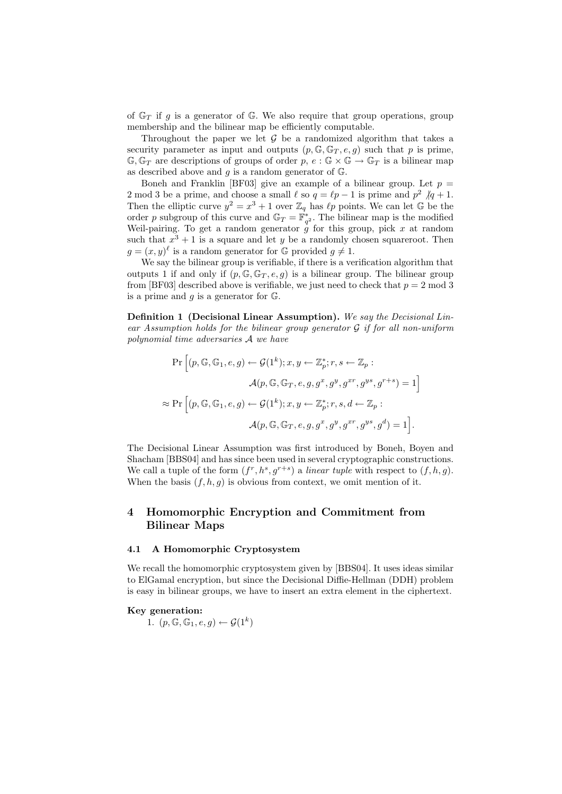of  $\mathbb{G}_T$  if g is a generator of  $\mathbb{G}$ . We also require that group operations, group membership and the bilinear map be efficiently computable.

Throughout the paper we let  $G$  be a randomized algorithm that takes a security parameter as input and outputs  $(p, \mathbb{G}, \mathbb{G}_T, e, g)$  such that p is prime,  $\mathbb{G}, \mathbb{G}_T$  are descriptions of groups of order  $p, e : \mathbb{G} \times \mathbb{G} \to \mathbb{G}_T$  is a bilinear map as described above and  $g$  is a random generator of  $\mathbb{G}$ .

Boneh and Franklin [BF03] give an example of a bilinear group. Let  $p =$ 2 mod 3 be a prime, and choose a small  $\ell$  so  $q = \ell p - 1$  is prime and  $p^2 /q + 1$ . Then the elliptic curve  $y^2 = x^3 + 1$  over  $\mathbb{Z}_q$  has  $\ell p$  points. We can let G be the order p subgroup of this curve and  $\mathbb{G}_T = \mathbb{F}_{q^2}^*$ . The bilinear map is the modified Weil-pairing. To get a random generator  $\frac{1}{g}$  for this group, pick x at random such that  $x^3 + 1$  is a square and let y be a randomly chosen squareroot. Then  $g = (x, y)^{\ell}$  is a random generator for G provided  $g \neq 1$ .

We say the bilinear group is verifiable, if there is a verification algorithm that outputs 1 if and only if  $(p, \mathbb{G}, \mathbb{G}_T, e, g)$  is a bilinear group. The bilinear group from [BF03] described above is verifiable, we just need to check that  $p = 2 \text{ mod } 3$ is a prime and  $g$  is a generator for  $\mathbb{G}$ .

Definition 1 (Decisional Linear Assumption). We say the Decisional Lin $ear$  Assumption holds for the bilinear group generator  $G$  if for all non-uniform polynomial time adversaries A we have

$$
\Pr\left[(p, \mathbb{G}, \mathbb{G}_1, e, g) \leftarrow \mathcal{G}(1^k); x, y \leftarrow \mathbb{Z}_p^*; r, s \leftarrow \mathbb{Z}_p:
$$

$$
\mathcal{A}(p, \mathbb{G}, \mathbb{G}_T, e, g, g^x, g^y, g^{xr}, g^{ys}, g^{r+s}) = 1\right]
$$

$$
\approx \Pr\left[(p, \mathbb{G}, \mathbb{G}_1, e, g) \leftarrow \mathcal{G}(1^k); x, y \leftarrow \mathbb{Z}_p^*; r, s, d \leftarrow \mathbb{Z}_p:
$$

$$
\mathcal{A}(p, \mathbb{G}, \mathbb{G}_T, e, g, g^x, g^y, g^{xr}, g^{ys}, g^d) = 1\right].
$$

The Decisional Linear Assumption was first introduced by Boneh, Boyen and Shacham [BBS04] and has since been used in several cryptographic constructions. We call a tuple of the form  $(f^r, h^s, g^{r+s})$  a linear tuple with respect to  $(f, h, g)$ . When the basis  $(f, h, g)$  is obvious from context, we omit mention of it.

# 4 Homomorphic Encryption and Commitment from Bilinear Maps

#### 4.1 A Homomorphic Cryptosystem

We recall the homomorphic cryptosystem given by [BBS04]. It uses ideas similar to ElGamal encryption, but since the Decisional Diffie-Hellman (DDH) problem is easy in bilinear groups, we have to insert an extra element in the ciphertext.

#### Key generation:

1.  $(p, \mathbb{G}, \mathbb{G}_1, e, g) \leftarrow \mathcal{G}(1^k)$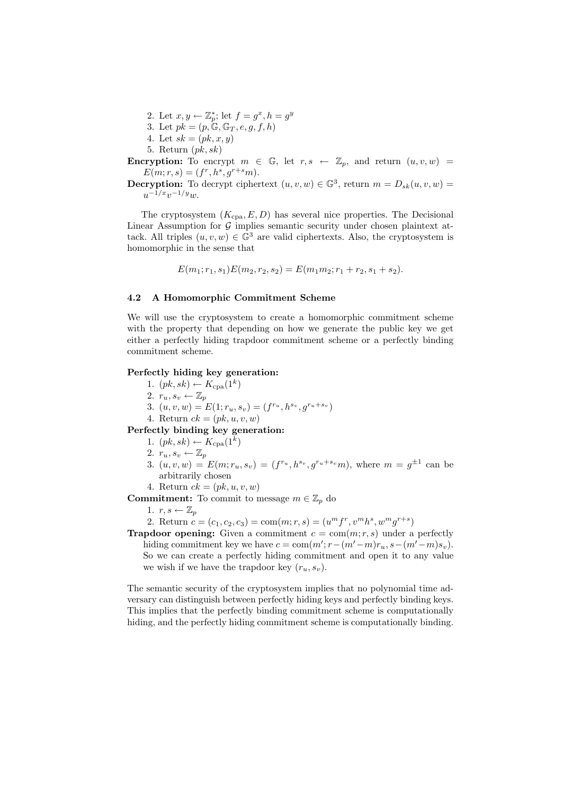- 2. Let  $x, y \leftarrow \mathbb{Z}_p^*$ ; let  $f = g^x, h = g^y$
- 3. Let  $pk = (p, \mathbb{G}, \mathbb{G}_T, e, g, f, h)$
- 4. Let  $sk = (pk, x, y)$
- 5. Return  $(pk, sk)$

**Encryption:** To encrypt  $m \in \mathbb{G}$ , let  $r, s \leftarrow \mathbb{Z}_p$ , and return  $(u, v, w)$  =  $E(m;r,s) = (f^r, h^s, g^{r+s}m).$ 

**Decryption:** To decrypt ciphertext  $(u, v, w) \in \mathbb{G}^3$ , return  $m = D_{sk}(u, v, w)$  $u^{-1/x}v^{-1/y}w.$ 

The cryptosystem  $(K_{\text{cpa}}, E, D)$  has several nice properties. The Decisional Linear Assumption for  $G$  implies semantic security under chosen plaintext attack. All triples  $(u, v, w) \in \mathbb{G}^3$  are valid ciphertexts. Also, the cryptosystem is homomorphic in the sense that

$$
E(m_1; r_1, s_1)E(m_2, r_2, s_2) = E(m_1m_2; r_1 + r_2, s_1 + s_2).
$$

#### 4.2 A Homomorphic Commitment Scheme

We will use the cryptosystem to create a homomorphic commitment scheme with the property that depending on how we generate the public key we get either a perfectly hiding trapdoor commitment scheme or a perfectly binding commitment scheme.

#### Perfectly hiding key generation:

- 1.  $(pk, sk) \leftarrow K_{\text{cpa}}(1^k)$
- 2.  $r_u, s_v \leftarrow \mathbb{Z}_p$
- 3.  $(u, v, w) = E(1; r_u, s_v) = (f^{r_u}, h^{s_v}, g^{r_u+s_v})$
- 4. Return  $ck = (pk, u, v, w)$

Perfectly binding key generation:

- 1.  $(pk, sk) \leftarrow K_{\text{cpa}}(1^k)$
- 2.  $r_u, s_v \leftarrow \mathbb{Z}_p$
- 3.  $(u, v, w) = E(m; r_u, s_v) = (f^{r_u}, h^{s_v}, g^{r_u+s_v}m)$ , where  $m = g^{\pm 1}$  can be arbitrarily chosen
- 4. Return  $ck = (pk, u, v, w)$

**Commitment:** To commit to message  $m \in \mathbb{Z}_p$  do

- 1.  $r, s \leftarrow \mathbb{Z}_p$
- 2. Return  $c = (c_1, c_2, c_3) = \text{com}(m; r, s) = (u^m f^r, v^m h^s, w^m g^{r+s})$
- **Trapdoor opening:** Given a commitment  $c = \text{com}(m; r, s)$  under a perfectly hiding commitment key we have  $c = \text{com}(m'; r - (m'-m)r_u, s - (m'-m)s_v)$ . So we can create a perfectly hiding commitment and open it to any value we wish if we have the trapdoor key  $(r_u, s_v)$ .

The semantic security of the cryptosystem implies that no polynomial time adversary can distinguish between perfectly hiding keys and perfectly binding keys. This implies that the perfectly binding commitment scheme is computationally hiding, and the perfectly hiding commitment scheme is computationally binding.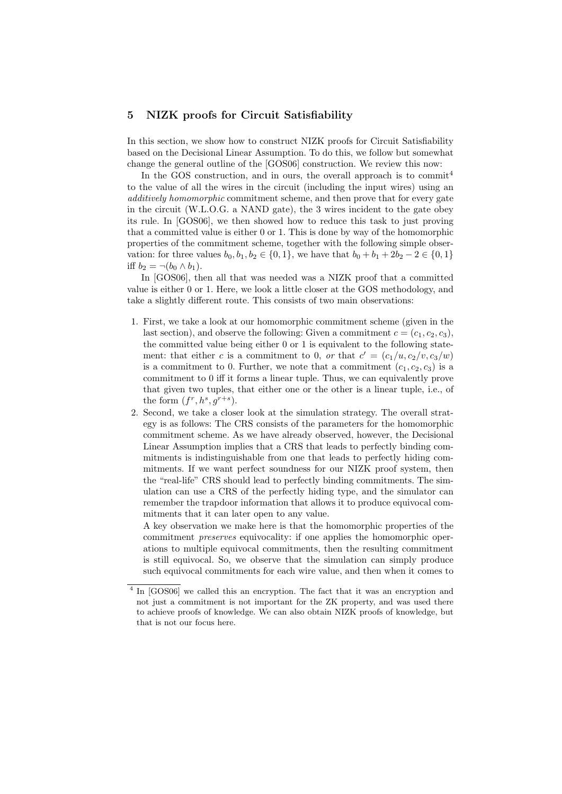## 5 NIZK proofs for Circuit Satisfiability

In this section, we show how to construct NIZK proofs for Circuit Satisfiability based on the Decisional Linear Assumption. To do this, we follow but somewhat change the general outline of the [GOS06] construction. We review this now:

In the GOS construction, and in ours, the overall approach is to commit<sup>4</sup> to the value of all the wires in the circuit (including the input wires) using an additively homomorphic commitment scheme, and then prove that for every gate in the circuit (W.L.O.G. a NAND gate), the 3 wires incident to the gate obey its rule. In [GOS06], we then showed how to reduce this task to just proving that a committed value is either 0 or 1. This is done by way of the homomorphic properties of the commitment scheme, together with the following simple observation: for three values  $b_0, b_1, b_2 \in \{0, 1\}$ , we have that  $b_0 + b_1 + 2b_2 - 2 \in \{0, 1\}$ iff  $b_2 = \neg(b_0 \wedge b_1)$ .

In [GOS06], then all that was needed was a NIZK proof that a committed value is either 0 or 1. Here, we look a little closer at the GOS methodology, and take a slightly different route. This consists of two main observations:

- 1. First, we take a look at our homomorphic commitment scheme (given in the last section), and observe the following: Given a commitment  $c = (c_1, c_2, c_3)$ , the committed value being either 0 or 1 is equivalent to the following statement: that either c is a commitment to 0, or that  $c' = (c_1/u, c_2/v, c_3/w)$ is a commitment to 0. Further, we note that a commitment  $(c_1, c_2, c_3)$  is a commitment to 0 iff it forms a linear tuple. Thus, we can equivalently prove that given two tuples, that either one or the other is a linear tuple, i.e., of the form  $(f^r, h^s, g^{r+s})$ .
- 2. Second, we take a closer look at the simulation strategy. The overall strategy is as follows: The CRS consists of the parameters for the homomorphic commitment scheme. As we have already observed, however, the Decisional Linear Assumption implies that a CRS that leads to perfectly binding commitments is indistinguishable from one that leads to perfectly hiding commitments. If we want perfect soundness for our NIZK proof system, then the "real-life" CRS should lead to perfectly binding commitments. The simulation can use a CRS of the perfectly hiding type, and the simulator can remember the trapdoor information that allows it to produce equivocal commitments that it can later open to any value.

A key observation we make here is that the homomorphic properties of the commitment preserves equivocality: if one applies the homomorphic operations to multiple equivocal commitments, then the resulting commitment is still equivocal. So, we observe that the simulation can simply produce such equivocal commitments for each wire value, and then when it comes to

<sup>&</sup>lt;sup>4</sup> In [GOS06] we called this an encryption. The fact that it was an encryption and not just a commitment is not important for the ZK property, and was used there to achieve proofs of knowledge. We can also obtain NIZK proofs of knowledge, but that is not our focus here.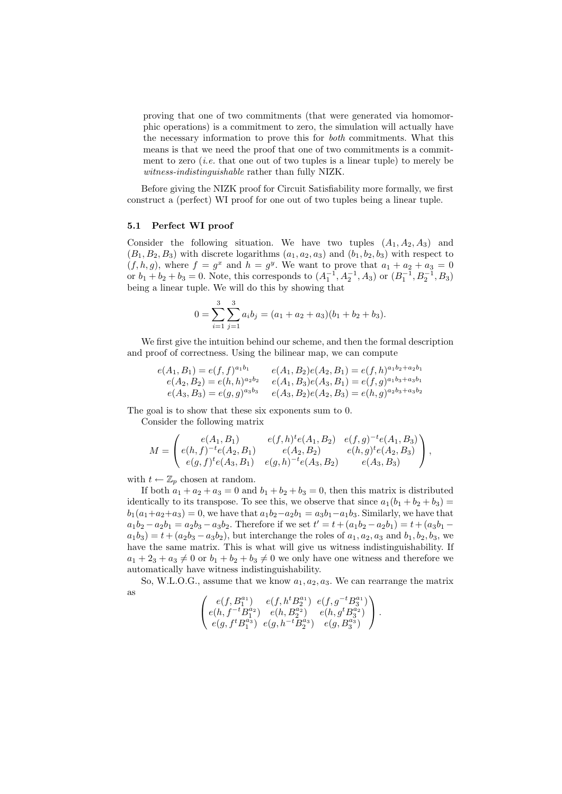proving that one of two commitments (that were generated via homomorphic operations) is a commitment to zero, the simulation will actually have the necessary information to prove this for both commitments. What this means is that we need the proof that one of two commitments is a commitment to zero *(i.e.* that one out of two tuples is a linear tuple) to merely be witness-indistinguishable rather than fully NIZK.

Before giving the NIZK proof for Circuit Satisfiability more formally, we first construct a (perfect) WI proof for one out of two tuples being a linear tuple.

#### 5.1 Perfect WI proof

Consider the following situation. We have two tuples  $(A_1, A_2, A_3)$  and  $(B_1, B_2, B_3)$  with discrete logarithms  $(a_1, a_2, a_3)$  and  $(b_1, b_2, b_3)$  with respect to  $(f, h, g)$ , where  $f = g^x$  and  $h = g^y$ . We want to prove that  $a_1 + a_2 + a_3 = 0$ or  $b_1 + b_2 + b_3 = 0$ . Note, this corresponds to  $(A_1^{-1}, A_2^{-1}, A_3)$  or  $(B_1^{-1}, B_2^{-1}, B_3)$ being a linear tuple. We will do this by showing that

$$
0 = \sum_{i=1}^{3} \sum_{j=1}^{3} a_i b_j = (a_1 + a_2 + a_3)(b_1 + b_2 + b_3).
$$

We first give the intuition behind our scheme, and then the formal description and proof of correctness. Using the bilinear map, we can compute

$$
e(A_1, B_1) = e(f, f)^{a_1 b_1} \qquad e(A_1, B_2)e(A_2, B_1) = e(f, h)^{a_1 b_2 + a_2 b_1} \ne(A_2, B_2) = e(h, h)^{a_2 b_2} \qquad e(A_1, B_3)e(A_3, B_1) = e(f, g)^{a_1 b_3 + a_3 b_1} \ne(A_3, B_3) = e(g, g)^{a_3 b_3} \qquad e(A_3, B_2)e(A_2, B_3) = e(h, g)^{a_2 b_3 + a_3 b_2}
$$

The goal is to show that these six exponents sum to 0.

Consider the following matrix

$$
M = \begin{pmatrix} e(A_1, B_1) & e(f, h)^t e(A_1, B_2) & e(f, g)^{-t} e(A_1, B_3) \\ e(h, f)^{-t} e(A_2, B_1) & e(A_2, B_2) & e(h, g)^t e(A_2, B_3) \\ e(g, f)^t e(A_3, B_1) & e(g, h)^{-t} e(A_3, B_2) & e(A_3, B_3) \end{pmatrix},
$$

with  $t \leftarrow \mathbb{Z}_p$  chosen at random.

If both  $a_1 + a_2 + a_3 = 0$  and  $b_1 + b_2 + b_3 = 0$ , then this matrix is distributed identically to its transpose. To see this, we observe that since  $a_1(b_1 + b_2 + b_3)$  =  $b_1(a_1+a_2+a_3) = 0$ , we have that  $a_1b_2-a_2b_1 = a_3b_1-a_1b_3$ . Similarly, we have that  $a_1b_2 - a_2b_1 = a_2b_3 - a_3b_2$ . Therefore if we set  $t' = t + (a_1b_2 - a_2b_1) = t + (a_3b_1 - a_2b_2)$  $a_1b_3$  =  $t + (a_2b_3 - a_3b_2)$ , but interchange the roles of  $a_1, a_2, a_3$  and  $b_1, b_2, b_3$ , we have the same matrix. This is what will give us witness indistinguishability. If  $a_1 + 2_3 + a_3 \neq 0$  or  $b_1 + b_2 + b_3 \neq 0$  we only have one witness and therefore we automatically have witness indistinguishability.

So, W.L.O.G., assume that we know  $a_1, a_2, a_3$ . We can rearrange the matrix as

$$
\begin{pmatrix} e(f,B_1^{a_1}) & e(f,h^tB_2^{a_1}) & e(f,g^{-t}B_3^{a_1}) \\ e(h,f^{-t}B_1^{a_2}) & e(h,B_2^{a_2}) & e(h,g^tB_3^{a_2}) \\ e(g,f^tB_1^{a_3}) & e(g,h^{-t}B_2^{a_3}) & e(g,B_3^{a_3}) \end{pmatrix}.
$$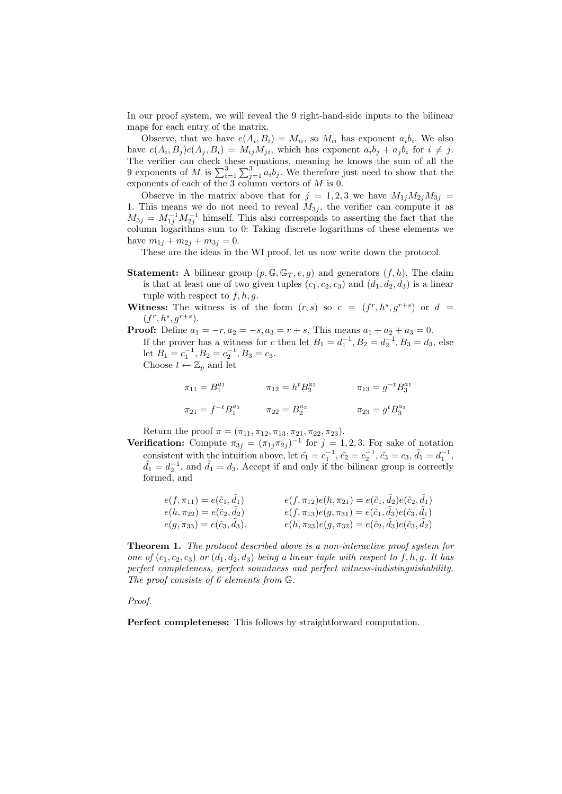In our proof system, we will reveal the 9 right-hand-side inputs to the bilinear maps for each entry of the matrix.

Observe, that we have  $e(A_i, B_i) = M_{ii}$ , so  $M_{ii}$  has exponent  $a_i b_i$ . We also have  $e(A_i, B_j)e(A_j, B_i) = M_{ij}M_{ji}$ , which has exponent  $a_i b_j + a_j b_i$  for  $i \neq j$ . The verifier can check these equations, meaning he knows the sum of all the 9 exponents of M is  $\sum_{i=1}^{3} \sum_{j=1}^{3} a_i b_j$ . We therefore just need to show that the exponents of each of the 3 column vectors of  $M$  is 0.

Observe in the matrix above that for  $j = 1, 2, 3$  we have  $M_{1j}M_{2j}M_{3j} =$ 1. This means we do not need to reveal  $M_{3j}$ , the verifier can compute it as  $M_{3j} = M_{1j}^{-1} M_{2j}^{-1}$  himself. This also corresponds to asserting the fact that the column logarithms sum to 0: Taking discrete logarithms of these elements we have  $m_{1j} + m_{2j} + m_{3j} = 0$ .

These are the ideas in the WI proof, let us now write down the protocol.

- **Statement:** A bilinear group  $(p, \mathbb{G}, \mathbb{G}_T, e, g)$  and generators  $(f, h)$ . The claim is that at least one of two given tuples  $(c_1, c_2, c_3)$  and  $(d_1, d_2, d_3)$  is a linear tuple with respect to  $f, h, q$ .
- **Witness:** The witness is of the form  $(r, s)$  so  $c = (f^r, h^s, g^{r+s})$  or  $d =$  $(f^r, h^s, g^{r+s}).$
- **Proof:** Define  $a_1 = -r, a_2 = -s, a_3 = r + s$ . This means  $a_1 + a_2 + a_3 = 0$ . If the prover has a witness for c then let  $B_1 = d_1^{-1}$ ,  $B_2 = d_2^{-1}$ ,  $B_3 = d_3$ , else let  $B_1 = c_1^{-1}, B_2 = c_2^{-1}, B_3 = c_3.$ Choose  $t \leftarrow \mathbb{Z}_p$  and let

$$
\pi_{11} = B_1^{a_1} \qquad \qquad \pi_{12} = h^t B_2^{a_1} \qquad \qquad \pi_{13} = g^{-t} B_3^{a_1}
$$

$$
\pi_{21} = f^{-t} B_1^{a_2} \qquad \qquad \pi_{22} = B_2^{a_2} \qquad \qquad \pi_{23} = g^t B_3^{a_3}
$$

Return the proof  $\pi = (\pi_{11}, \pi_{12}, \pi_{13}, \pi_{21}, \pi_{22}, \pi_{23}).$ 

**Verification:** Compute  $\pi_{3j} = (\pi_{1j}\pi_{2j})^{-1}$  for  $j = 1, 2, 3$ . For sake of notation consistent with the intuition above, let  $\tilde{c}_1 = c_1^{-1}$ ,  $\tilde{c}_2 = c_2^{-1}$ ,  $\tilde{c}_3 = c_3$ ,  $\tilde{d}_1 = d_1^{-1}$ ,  $\tilde{d}_1 = d_2^{-1}$ , and  $\tilde{d}_1 = d_3$ . Accept if and only if the bilinear group is correctly formed, and

| $e(f, \pi_{11}) = e(\tilde{c}_1, d_1)$  | $e(f, \pi_{12})e(h, \pi_{21}) = e(\tilde{c}_1, \tilde{d}_2)e(\tilde{c}_2, \tilde{d}_1)$ |
|-----------------------------------------|-----------------------------------------------------------------------------------------|
| $e(h, \pi_{22}) = e(\tilde{c}_2, d_2)$  | $e(f, \pi_{13})e(g, \pi_{31}) = e(\tilde{c}_1, d_3)e(\tilde{c}_3, d_1)$                 |
| $e(g, \pi_{33}) = e(\tilde{c}_3, d_3).$ | $e(h, \pi_{23})e(g, \pi_{32}) = e(\tilde{c}_2, d_3)e(\tilde{c}_3, d_2)$                 |

Theorem 1. The protocol described above is a non-interactive proof system for one of  $(c_1, c_2, c_3)$  or  $(d_1, d_2, d_3)$  being a linear tuple with respect to f, h, q. It has perfect completeness, perfect soundness and perfect witness-indistinguishability. The proof consists of 6 elements from G.

Proof.

Perfect completeness: This follows by straightforward computation.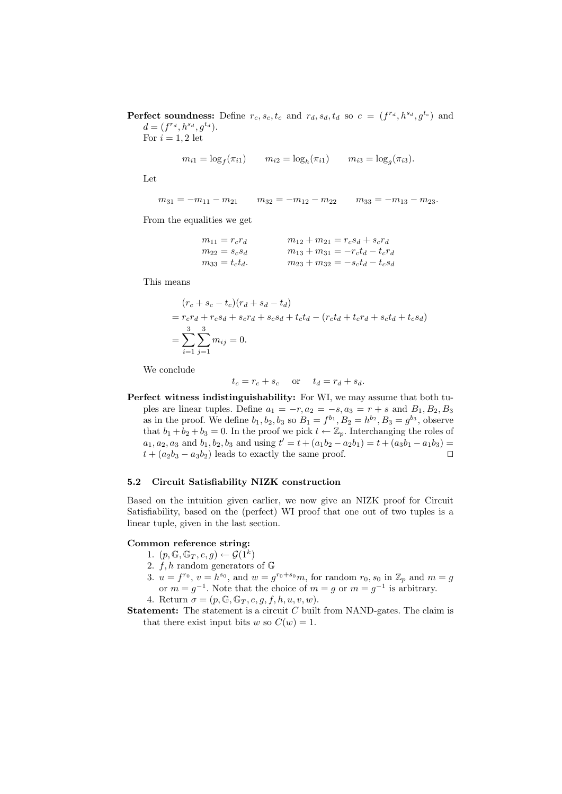**Perfect soundness:** Define  $r_c, s_c, t_c$  and  $r_d, s_d, t_d$  so  $c = (f^{r_d}, h^{s_d}, g^{t_c})$  and  $d = (f^{r_d}, h^{s_d}, g^{t_d}).$ 

For  $i = 1, 2$  let

$$
m_{i1} = \log_f(\pi_{i1})
$$
  $m_{i2} = \log_h(\pi_{i1})$   $m_{i3} = \log_g(\pi_{i3}).$ 

Let

$$
m_{31} = -m_{11} - m_{21} \qquad m_{32} = -m_{12} - m_{22} \qquad m_{33} = -m_{13} - m_{23}.
$$

From the equalities we get

| $m_{11} = r_c r_d$  | $m_{12} + m_{21} = r_c s_d + s_c r_d$  |
|---------------------|----------------------------------------|
| $m_{22} = s_c s_d$  | $m_{13} + m_{31} = -r_c t_d - t_c r_d$ |
| $m_{33} = t_c t_d.$ | $m_{23} + m_{32} = -s_c t_d - t_c s_d$ |

This means

$$
(r_c + s_c - t_c)(r_d + s_d - t_d)
$$
  
=  $r_c r_d + r_c s_d + s_c r_d + s_c s_d + t_c t_d - (r_c t_d + t_c r_d + s_c t_d + t_c s_d)$   
=  $\sum_{i=1}^{3} \sum_{j=1}^{3} m_{ij} = 0.$ 

We conclude

 $t_c = r_c + s_c$  or  $t_d = r_d + s_d$ .

Perfect witness indistinguishability: For WI, we may assume that both tuples are linear tuples. Define  $a_1 = -r, a_2 = -s, a_3 = r + s$  and  $B_1, B_2, B_3$ as in the proof. We define  $b_1, b_2, b_3$  so  $B_1 = f^{b_1}, B_2 = h^{b_2}, B_3 = g^{b_3}$ , observe that  $b_1 + b_2 + b_3 = 0$ . In the proof we pick  $t \leftarrow \mathbb{Z}_p$ . Interchanging the roles of  $a_1, a_2, a_3$  and  $b_1, b_2, b_3$  and using  $t' = t + (a_1b_2 - a_2b_1) = t + (a_3b_1 - a_1b_3) =$  $t + (a_2b_3 - a_3b_2)$  leads to exactly the same proof.  $\square$ 

#### 5.2 Circuit Satisfiability NIZK construction

Based on the intuition given earlier, we now give an NIZK proof for Circuit Satisfiability, based on the (perfect) WI proof that one out of two tuples is a linear tuple, given in the last section.

## Common reference string:

- 1.  $(p, \mathbb{G}, \mathbb{G}_T, e, g) \leftarrow \mathcal{G}(1^k)$
- 2.  $f, h$  random generators of  $\mathbb{G}$
- 3.  $u = f^{r_0}, v = h^{s_0}$ , and  $w = g^{r_0 + s_0} m$ , for random  $r_0, s_0$  in  $\mathbb{Z}_p$  and  $m = g$ or  $m = g^{-1}$ . Note that the choice of  $m = g$  or  $m = g^{-1}$  is arbitrary.
- 4. Return  $\sigma = (p, \mathbb{G}, \mathbb{G}_T, e, g, f, h, u, v, w).$
- **Statement:** The statement is a circuit  $C$  built from NAND-gates. The claim is that there exist input bits w so  $C(w) = 1$ .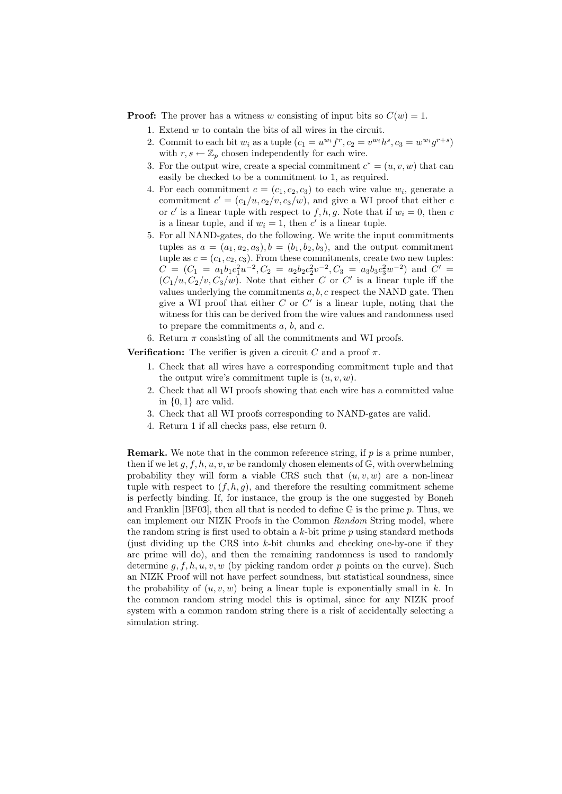**Proof:** The prover has a witness w consisting of input bits so  $C(w) = 1$ .

- 1. Extend  $w$  to contain the bits of all wires in the circuit.
- 2. Commit to each bit  $w_i$  as a tuple  $(c_1 = u^{w_i} f^r, c_2 = v^{w_i} h^s, c_3 = w^{w_i} g^{r+s})$ with  $r, s \leftarrow \mathbb{Z}_p$  chosen independently for each wire.
- 3. For the output wire, create a special commitment  $c^* = (u, v, w)$  that can easily be checked to be a commitment to 1, as required.
- 4. For each commitment  $c = (c_1, c_2, c_3)$  to each wire value  $w_i$ , generate a commitment  $c' = (c_1/u, c_2/v, c_3/w)$ , and give a WI proof that either c or c' is a linear tuple with respect to  $f, h, g$ . Note that if  $w_i = 0$ , then c is a linear tuple, and if  $w_i = 1$ , then  $c'$  is a linear tuple.
- 5. For all NAND-gates, do the following. We write the input commitments tuples as  $a = (a_1, a_2, a_3), b = (b_1, b_2, b_3)$ , and the output commitment tuple as  $c = (c_1, c_2, c_3)$ . From these commitments, create two new tuples:  $C = (C_1 = a_1b_1c_1^2u^{-2}, C_2 = a_2b_2c_2^2v^{-2}, C_3 = a_3b_3c_3^2w^{-2})$  and  $C' =$  $(C_1/u, C_2/v, C_3/w)$ . Note that either C or C' is a linear tuple iff the values underlying the commitments  $a, b, c$  respect the NAND gate. Then give a WI proof that either  $C$  or  $C'$  is a linear tuple, noting that the witness for this can be derived from the wire values and randomness used to prepare the commitments  $a, b$ , and  $c$ .
- 6. Return  $\pi$  consisting of all the commitments and WI proofs.

**Verification:** The verifier is given a circuit C and a proof  $\pi$ .

- 1. Check that all wires have a corresponding commitment tuple and that the output wire's commitment tuple is  $(u, v, w)$ .
- 2. Check that all WI proofs showing that each wire has a committed value in  $\{0,1\}$  are valid.
- 3. Check that all WI proofs corresponding to NAND-gates are valid.
- 4. Return 1 if all checks pass, else return 0.

**Remark.** We note that in the common reference string, if  $p$  is a prime number, then if we let  $g, f, h, u, v, w$  be randomly chosen elements of  $\mathbb{G}$ , with overwhelming probability they will form a viable CRS such that  $(u, v, w)$  are a non-linear tuple with respect to  $(f, h, g)$ , and therefore the resulting commitment scheme is perfectly binding. If, for instance, the group is the one suggested by Boneh and Franklin [BF03], then all that is needed to define  $\mathbb G$  is the prime p. Thus, we can implement our NIZK Proofs in the Common Random String model, where the random string is first used to obtain a  $k$ -bit prime p using standard methods (just dividing up the CRS into  $k$ -bit chunks and checking one-by-one if they are prime will do), and then the remaining randomness is used to randomly determine g,  $f, h, u, v, w$  (by picking random order p points on the curve). Such an NIZK Proof will not have perfect soundness, but statistical soundness, since the probability of  $(u, v, w)$  being a linear tuple is exponentially small in k. In the common random string model this is optimal, since for any NIZK proof system with a common random string there is a risk of accidentally selecting a simulation string.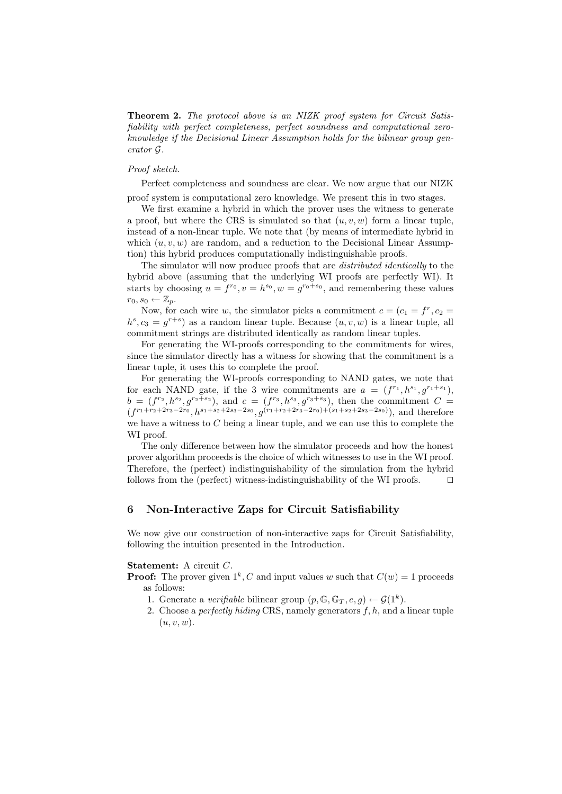**Theorem 2.** The protocol above is an NIZK proof system for Circuit Satisfiability with perfect completeness, perfect soundness and computational zeroknowledge if the Decisional Linear Assumption holds for the bilinear group generator G.

## Proof sketch.

Perfect completeness and soundness are clear. We now argue that our NIZK

proof system is computational zero knowledge. We present this in two stages.

We first examine a hybrid in which the prover uses the witness to generate a proof, but where the CRS is simulated so that  $(u, v, w)$  form a linear tuple, instead of a non-linear tuple. We note that (by means of intermediate hybrid in which  $(u, v, w)$  are random, and a reduction to the Decisional Linear Assumption) this hybrid produces computationally indistinguishable proofs.

The simulator will now produce proofs that are *distributed identically* to the hybrid above (assuming that the underlying WI proofs are perfectly WI). It starts by choosing  $u = f^{r_0}, v = h^{s_0}, w = g^{r_0+s_0}$ , and remembering these values  $r_0, s_0 \leftarrow \mathbb{Z}_p.$ 

Now, for each wire w, the simulator picks a commitment  $c = (c_1 = f^r, c_2 =$  $h^s, c_3 = g^{r+s}$  as a random linear tuple. Because  $(u, v, w)$  is a linear tuple, all commitment strings are distributed identically as random linear tuples.

For generating the WI-proofs corresponding to the commitments for wires, since the simulator directly has a witness for showing that the commitment is a linear tuple, it uses this to complete the proof.

For generating the WI-proofs corresponding to NAND gates, we note that for each NAND gate, if the 3 wire commitments are  $a = (f^{r_1}, h^{s_1}, g^{r_1+s_1}),$  $b = (f^{r_2}, h^{s_2}, g^{r_2+s_2}),$  and  $c = (f^{r_3}, h^{s_3}, g^{r_3+s_3}),$  then the commitment  $C =$  $(f^{r_1+r_2+2r_3-2r_0},h^{s_1+s_2+2s_3-2s_0},g^{(r_1+r_2+2r_3-2r_0)+(s_1+s_2+2s_3-2s_0)}),$  and therefore we have a witness to  $C$  being a linear tuple, and we can use this to complete the WI proof.

The only difference between how the simulator proceeds and how the honest prover algorithm proceeds is the choice of which witnesses to use in the WI proof. Therefore, the (perfect) indistinguishability of the simulation from the hybrid follows from the (perfect) witness-indistinguishability of the WI proofs.  $\square$ 

## 6 Non-Interactive Zaps for Circuit Satisfiability

We now give our construction of non-interactive zaps for Circuit Satisfiability, following the intuition presented in the Introduction.

#### Statement: A circuit C.

- **Proof:** The prover given  $1^k$ , C and input values w such that  $C(w) = 1$  proceeds as follows:
	- 1. Generate a verifiable bilinear group  $(p, \mathbb{G}, \mathbb{G}_T, e, g) \leftarrow \mathcal{G}(1^k)$ .
	- 2. Choose a *perfectly hiding* CRS, namely generators  $f, h$ , and a linear tuple  $(u, v, w)$ .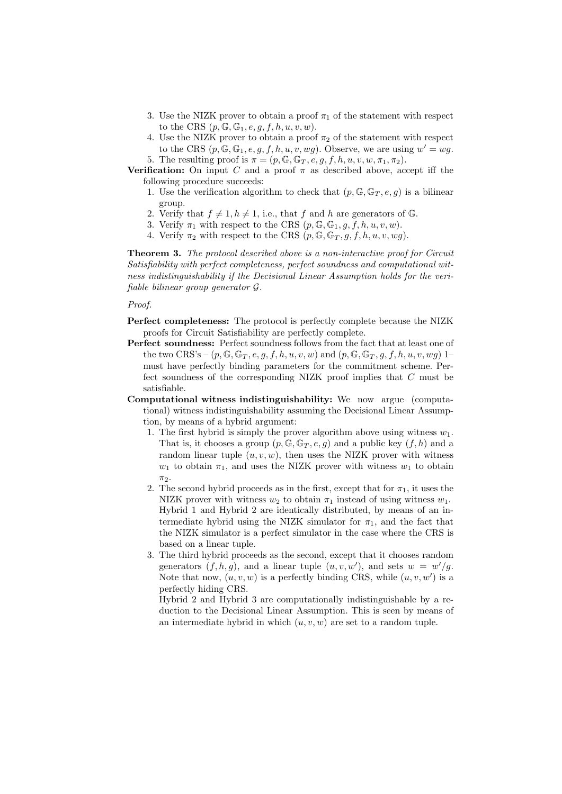- 3. Use the NIZK prover to obtain a proof  $\pi_1$  of the statement with respect to the CRS  $(p, \mathbb{G}, \mathbb{G}_1, e, q, f, h, u, v, w)$ .
- 4. Use the NIZK prover to obtain a proof  $\pi_2$  of the statement with respect to the CRS  $(p, \mathbb{G}, \mathbb{G}_1, e, g, f, h, u, v, wg)$ . Observe, we are using  $w' = wg$ .
- 5. The resulting proof is  $\pi = (p, \mathbb{G}, \mathbb{G}_T, e, g, f, h, u, v, w, \pi_1, \pi_2).$

**Verification:** On input C and a proof  $\pi$  as described above, accept iff the following procedure succeeds:

- 1. Use the verification algorithm to check that  $(p, \mathbb{G}, \mathbb{G}_T, e, g)$  is a bilinear group.
- 2. Verify that  $f \neq 1, h \neq 1$ , i.e., that f and h are generators of G.
- 3. Verify  $\pi_1$  with respect to the CRS  $(p, \mathbb{G}, \mathbb{G}_1, q, f, h, u, v, w)$ .
- 4. Verify  $\pi_2$  with respect to the CRS  $(p, \mathbb{G}, \mathbb{G}_T, g, f, h, u, v, wg)$ .

**Theorem 3.** The protocol described above is a non-interactive proof for Circuit Satisfiability with perfect completeness, perfect soundness and computational witness indistinguishability if the Decisional Linear Assumption holds for the verifiable bilinear group generator G.

#### Proof.

- Perfect completeness: The protocol is perfectly complete because the NIZK proofs for Circuit Satisfiability are perfectly complete.
- Perfect soundness: Perfect soundness follows from the fact that at least one of the two CRS's –  $(p, \mathbb{G}, \mathbb{G}_T, e, g, f, h, u, v, w)$  and  $(p, \mathbb{G}, \mathbb{G}_T, g, f, h, u, v, wg)$  1– must have perfectly binding parameters for the commitment scheme. Perfect soundness of the corresponding NIZK proof implies that C must be satisfiable.
- Computational witness indistinguishability: We now argue (computational) witness indistinguishability assuming the Decisional Linear Assumption, by means of a hybrid argument:
	- 1. The first hybrid is simply the prover algorithm above using witness  $w_1$ . That is, it chooses a group  $(p, \mathbb{G}, \mathbb{G}_T, e, g)$  and a public key  $(f, h)$  and a random linear tuple  $(u, v, w)$ , then uses the NIZK prover with witness  $w_1$  to obtain  $\pi_1$ , and uses the NIZK prover with witness  $w_1$  to obtain  $\pi_2$ .
	- 2. The second hybrid proceeds as in the first, except that for  $\pi_1$ , it uses the NIZK prover with witness  $w_2$  to obtain  $\pi_1$  instead of using witness  $w_1$ . Hybrid 1 and Hybrid 2 are identically distributed, by means of an intermediate hybrid using the NIZK simulator for  $\pi_1$ , and the fact that the NIZK simulator is a perfect simulator in the case where the CRS is based on a linear tuple.
	- 3. The third hybrid proceeds as the second, except that it chooses random generators  $(f, h, g)$ , and a linear tuple  $(u, v, w')$ , and sets  $w = w'/g$ . Note that now,  $(u, v, w)$  is a perfectly binding CRS, while  $(u, v, w')$  is a perfectly hiding CRS.

Hybrid 2 and Hybrid 3 are computationally indistinguishable by a reduction to the Decisional Linear Assumption. This is seen by means of an intermediate hybrid in which  $(u, v, w)$  are set to a random tuple.